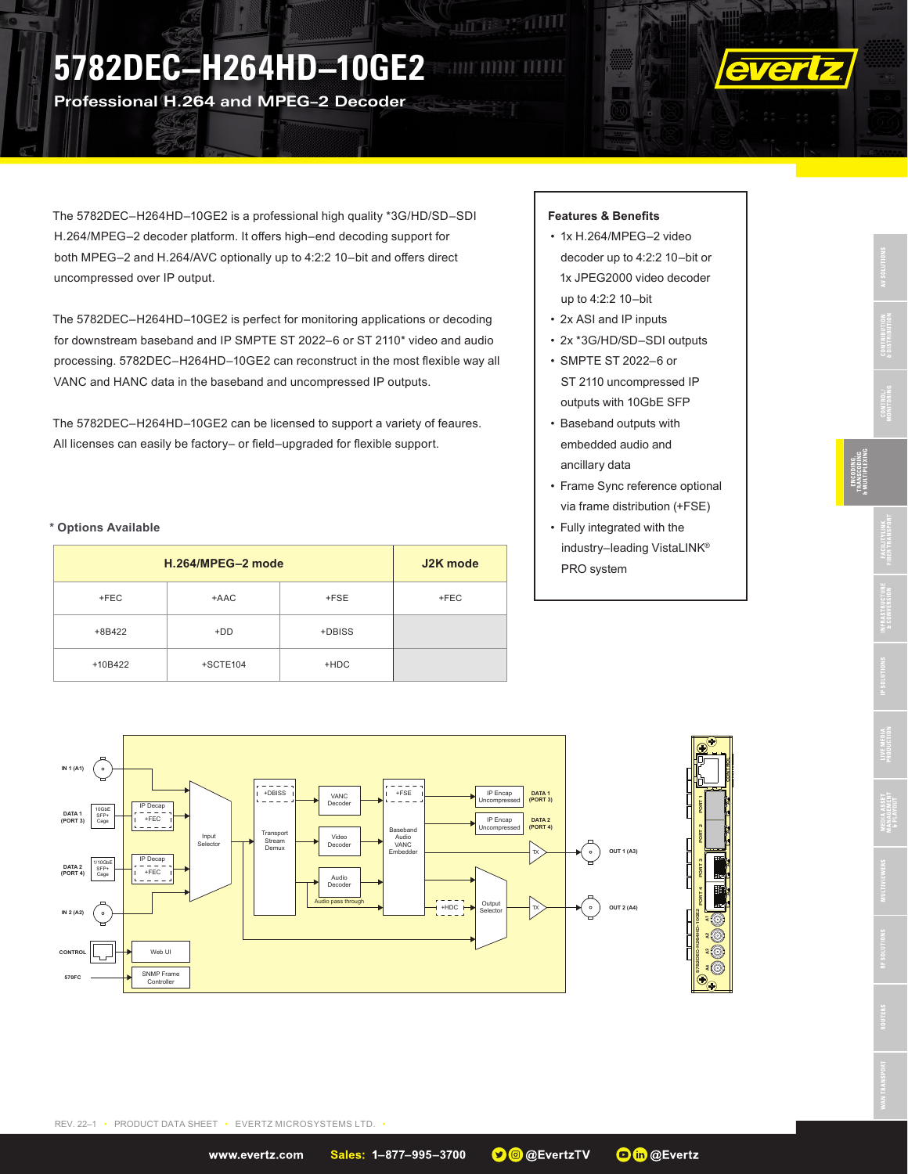# **5782DEC–H264HD–10GE2**

**Professional H.264 and MPEG–2 Decoder**



The 5782DEC–H264HD–10GE2 is a professional high quality \*3G/HD/SD–SDI H.264/MPEG–2 decoder platform. It offers high–end decoding support for both MPEG–2 and H.264/AVC optionally up to 4:2:2 10–bit and offers direct uncompressed over IP output.

The 5782DEC–H264HD–10GE2 is perfect for monitoring applications or decoding for downstream baseband and IP SMPTE ST 2022–6 or ST 2110\* video and audio processing. 5782DEC–H264HD–10GE2 can reconstruct in the most flexible way all VANC and HANC data in the baseband and uncompressed IP outputs.

The 5782DEC–H264HD–10GE2 can be licensed to support a variety of feaures. All licenses can easily be factory– or field–upgraded for flexible support.

### **\* Options Available**

| H.264/MPEG-2 mode | J2K mode   |        |        |
|-------------------|------------|--------|--------|
| $+FEC$            | +AAC       | +FSE   | $+FEC$ |
| +8B422            | $+DD$      | +DBISS |        |
| +10B422           | $+SCTE104$ | $+HDC$ |        |

#### **Features & Benefits**

**ALLES PRODUCT** 

- 1x H.264/MPEG–2 video decoder up to 4:2:2 10–bit or 1x JPEG2000 video decoder up to 4:2:2 10–bit
- 2x ASI and IP inputs
- 2x \*3G/HD/SD–SDI outputs
- SMPTE ST 2022–6 or ST 2110 uncompressed IP outputs with 10GbE SFP
- Baseband outputs with embedded audio and ancillary data
- Frame Sync reference optional via frame distribution (+FSE)
- Fully integrated with the industry–leading VistaLINK® PRO system



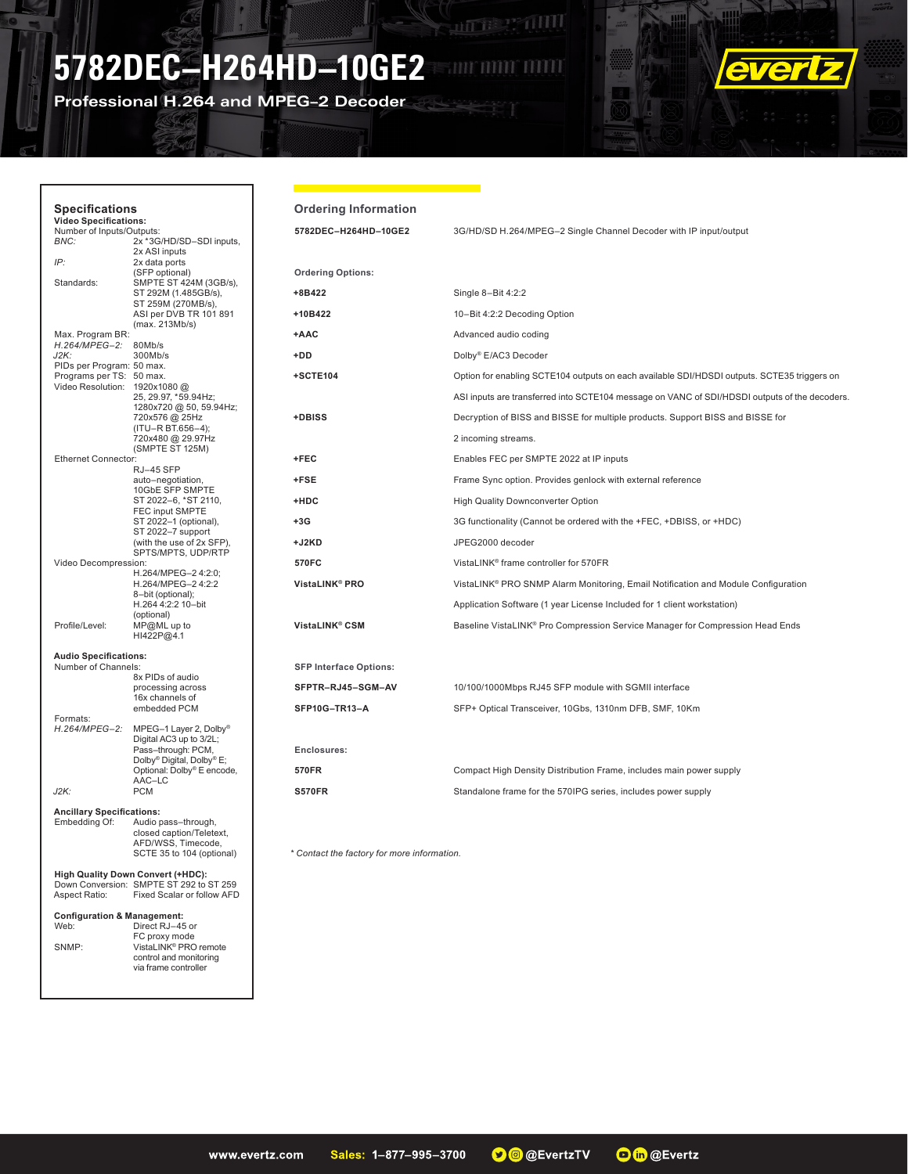# **5782DEC–H264HD–10GE2**

**Professional H.264 and MPEG–2 Decoder**

Г



| <b>Specifications</b><br><b>Video Specifications:</b>                                         |                                                                                                             | <b>Ordering Information</b>                 |                                                                                               |
|-----------------------------------------------------------------------------------------------|-------------------------------------------------------------------------------------------------------------|---------------------------------------------|-----------------------------------------------------------------------------------------------|
| Number of Inputs/Outputs:<br>BNC:                                                             | 2x *3G/HD/SD-SDI inputs,                                                                                    | 5782DEC-H264HD-10GE2                        | 3G/HD/SD H.264/MPEG-2 Single Channel Decoder with IP input/output                             |
| IP:                                                                                           | 2x ASI inputs<br>2x data ports                                                                              |                                             |                                                                                               |
| Standards:                                                                                    | (SFP optional)<br>SMPTE ST 424M (3GB/s),                                                                    | <b>Ordering Options:</b>                    |                                                                                               |
|                                                                                               | ST 292M (1.485GB/s),                                                                                        | +8B422                                      | Single 8-Bit 4:2:2                                                                            |
|                                                                                               | ST 259M (270MB/s),<br>ASI per DVB TR 101 891                                                                | +10B422                                     | 10-Bit 4:2:2 Decoding Option                                                                  |
| Max. Program BR:                                                                              | (max. 213Mb/s)                                                                                              | +AAC                                        | Advanced audio coding                                                                         |
| H.264/MPEG-2: 80Mb/s<br>J2K:                                                                  | 300Mb/s                                                                                                     | +DD                                         | Dolby® E/AC3 Decoder                                                                          |
| PIDs per Program: 50 max.<br>Programs per TS: 50 max.                                         |                                                                                                             | +SCTE104                                    | Option for enabling SCTE104 outputs on each available SDI/HDSDI outputs. SCTE35 triggers on   |
| Video Resolution: 1920x1080@                                                                  | 25, 29.97, *59.94Hz;                                                                                        |                                             | ASI inputs are transferred into SCTE104 message on VANC of SDI/HDSDI outputs of the decoders. |
|                                                                                               | 1280x720 @ 50, 59.94Hz;<br>720x576 @ 25Hz                                                                   | +DBISS                                      | Decryption of BISS and BISSE for multiple products. Support BISS and BISSE for                |
|                                                                                               | (ITU-R BT.656-4);<br>720x480 @ 29.97Hz                                                                      |                                             | 2 incoming streams.                                                                           |
| <b>Ethernet Connector:</b>                                                                    | (SMPTE ST 125M)                                                                                             | +FEC                                        | Enables FEC per SMPTE 2022 at IP inputs                                                       |
|                                                                                               | RJ-45 SFP<br>auto-negotiation,                                                                              | +FSE                                        | Frame Sync option. Provides genlock with external reference                                   |
|                                                                                               | 10GbE SFP SMPTE<br>ST 2022-6. *ST 2110.                                                                     | +HDC                                        | High Quality Downconverter Option                                                             |
|                                                                                               | FEC input SMPTE<br>ST 2022-1 (optional),                                                                    | $+3G$                                       | 3G functionality (Cannot be ordered with the +FEC, +DBISS, or +HDC)                           |
|                                                                                               | ST 2022-7 support<br>(with the use of 2x SFP),                                                              | +J2KD                                       | JPEG2000 decoder                                                                              |
| Video Decompression:                                                                          | SPTS/MPTS, UDP/RTP                                                                                          | 570FC                                       | VistaLINK® frame controller for 570FR                                                         |
|                                                                                               | H.264/MPEG-2 4:2:0;<br>H.264/MPEG-2 4:2:2                                                                   | VistaLINK <sup>®</sup> PRO                  | VistaLINK® PRO SNMP Alarm Monitoring, Email Notification and Module Configuration             |
|                                                                                               | 8-bit (optional);<br>H.264 4:2:2 10-bit                                                                     |                                             | Application Software (1 year License Included for 1 client workstation)                       |
| Profile/Level:                                                                                | (optional)<br>$MP@ML$ up to<br>HI422P@4.1                                                                   | VistaLINK® CSM                              | Baseline VistaLINK® Pro Compression Service Manager for Compression Head Ends                 |
| <b>Audio Specifications:</b>                                                                  |                                                                                                             |                                             |                                                                                               |
| Number of Channels:                                                                           | 8x PIDs of audio                                                                                            | <b>SFP Interface Options:</b>               |                                                                                               |
|                                                                                               | processing across<br>16x channels of                                                                        | SFPTR-RJ45-SGM-AV                           | 10/100/1000Mbps RJ45 SFP module with SGMII interface                                          |
| Formats:                                                                                      | embedded PCM                                                                                                | SFP10G-TR13-A                               | SFP+ Optical Transceiver, 10Gbs, 1310nm DFB, SMF, 10Km                                        |
| H.264/MPEG-2:                                                                                 | MPEG-1 Layer 2, Dolby <sup>®</sup><br>Digital AC3 up to 3/2L;<br>Pass-through: PCM,                         |                                             |                                                                                               |
|                                                                                               | Dolby® Digital, Dolby® E;<br>Optional: Dolby® E encode,                                                     | Enclosures:<br>570FR                        | Compact High Density Distribution Frame, includes main power supply                           |
| J2K:<br><b>PCM</b>                                                                            | AAC-LC                                                                                                      | <b>S570FR</b>                               | Standalone frame for the 570IPG series, includes power supply                                 |
| <b>Ancillary Specifications:</b>                                                              |                                                                                                             |                                             |                                                                                               |
| Embedding Of:                                                                                 | Audio pass-through,<br>closed caption/Teletext,<br>AFD/WSS, Timecode,<br>SCTE 35 to 104 (optional)          | * Contact the factory for more information. |                                                                                               |
| High Quality Down Convert (+HDC):<br>Down Conversion: SMPTE ST 292 to ST 259<br>Aspect Ratio: | Fixed Scalar or follow AFD                                                                                  |                                             |                                                                                               |
| <b>Configuration &amp; Management:</b><br>Web:<br>SNMP:                                       | Direct RJ-45 or<br>FC proxy mode<br>VistaLINK® PRO remote<br>control and monitoring<br>via frame controller |                                             |                                                                                               |

**ANTER PRODUCT**